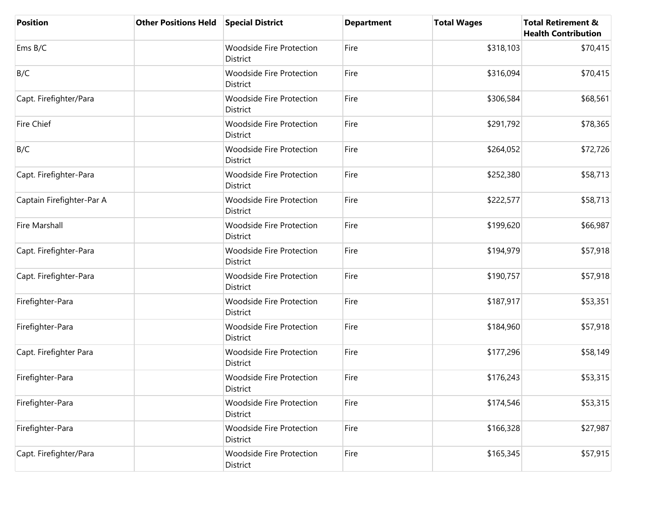| <b>Position</b>           | <b>Other Positions Held</b> | <b>Special District</b>                     | <b>Department</b> | <b>Total Wages</b> | <b>Total Retirement &amp;</b><br><b>Health Contribution</b> |
|---------------------------|-----------------------------|---------------------------------------------|-------------------|--------------------|-------------------------------------------------------------|
| Ems B/C                   |                             | <b>Woodside Fire Protection</b><br>District | Fire              | \$318,103          | \$70,415                                                    |
| B/C                       |                             | <b>Woodside Fire Protection</b><br>District | Fire              | \$316,094          | \$70,415                                                    |
| Capt. Firefighter/Para    |                             | <b>Woodside Fire Protection</b><br>District | Fire              | \$306,584          | \$68,561                                                    |
| <b>Fire Chief</b>         |                             | <b>Woodside Fire Protection</b><br>District | Fire              | \$291,792          | \$78,365                                                    |
| B/C                       |                             | <b>Woodside Fire Protection</b><br>District | Fire              | \$264,052          | \$72,726                                                    |
| Capt. Firefighter-Para    |                             | <b>Woodside Fire Protection</b><br>District | Fire              | \$252,380          | \$58,713                                                    |
| Captain Firefighter-Par A |                             | <b>Woodside Fire Protection</b><br>District | Fire              | \$222,577          | \$58,713                                                    |
| Fire Marshall             |                             | <b>Woodside Fire Protection</b><br>District | Fire              | \$199,620          | \$66,987                                                    |
| Capt. Firefighter-Para    |                             | <b>Woodside Fire Protection</b><br>District | Fire              | \$194,979          | \$57,918                                                    |
| Capt. Firefighter-Para    |                             | <b>Woodside Fire Protection</b><br>District | Fire              | \$190,757          | \$57,918                                                    |
| Firefighter-Para          |                             | <b>Woodside Fire Protection</b><br>District | Fire              | \$187,917          | \$53,351                                                    |
| Firefighter-Para          |                             | Woodside Fire Protection<br>District        | Fire              | \$184,960          | \$57,918                                                    |
| Capt. Firefighter Para    |                             | Woodside Fire Protection<br>District        | Fire              | \$177,296          | \$58,149                                                    |
| Firefighter-Para          |                             | <b>Woodside Fire Protection</b><br>District | Fire              | \$176,243          | \$53,315                                                    |
| Firefighter-Para          |                             | <b>Woodside Fire Protection</b><br>District | Fire              | \$174,546          | \$53,315                                                    |
| Firefighter-Para          |                             | <b>Woodside Fire Protection</b><br>District | Fire              | \$166,328          | \$27,987                                                    |
| Capt. Firefighter/Para    |                             | <b>Woodside Fire Protection</b><br>District | Fire              | \$165,345          | \$57,915                                                    |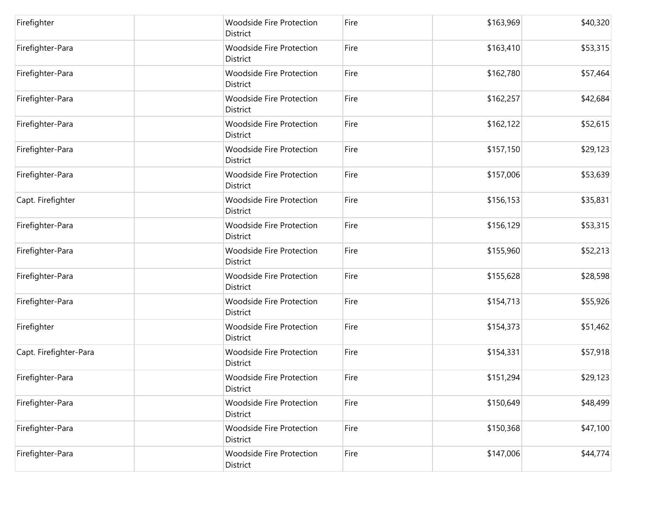| Firefighter            | <b>Woodside Fire Protection</b><br>District        | Fire | \$163,969 | \$40,320 |
|------------------------|----------------------------------------------------|------|-----------|----------|
| Firefighter-Para       | <b>Woodside Fire Protection</b><br>District        | Fire | \$163,410 | \$53,315 |
| Firefighter-Para       | Woodside Fire Protection<br>District               | Fire | \$162,780 | \$57,464 |
| Firefighter-Para       | <b>Woodside Fire Protection</b><br>District        | Fire | \$162,257 | \$42,684 |
| Firefighter-Para       | <b>Woodside Fire Protection</b><br>District        | Fire | \$162,122 | \$52,615 |
| Firefighter-Para       | <b>Woodside Fire Protection</b><br>District        | Fire | \$157,150 | \$29,123 |
| Firefighter-Para       | <b>Woodside Fire Protection</b><br><b>District</b> | Fire | \$157,006 | \$53,639 |
| Capt. Firefighter      | Woodside Fire Protection<br>District               | Fire | \$156,153 | \$35,831 |
| Firefighter-Para       | <b>Woodside Fire Protection</b><br>District        | Fire | \$156,129 | \$53,315 |
| Firefighter-Para       | <b>Woodside Fire Protection</b><br>District        | Fire | \$155,960 | \$52,213 |
| Firefighter-Para       | <b>Woodside Fire Protection</b><br>District        | Fire | \$155,628 | \$28,598 |
| Firefighter-Para       | <b>Woodside Fire Protection</b><br>District        | Fire | \$154,713 | \$55,926 |
| Firefighter            | Woodside Fire Protection<br>District               | Fire | \$154,373 | \$51,462 |
| Capt. Firefighter-Para | <b>Woodside Fire Protection</b><br>District        | Fire | \$154,331 | \$57,918 |
| Firefighter-Para       | <b>Woodside Fire Protection</b><br>District        | Fire | \$151,294 | \$29,123 |
| Firefighter-Para       | <b>Woodside Fire Protection</b><br>District        | Fire | \$150,649 | \$48,499 |
| Firefighter-Para       | <b>Woodside Fire Protection</b><br>District        | Fire | \$150,368 | \$47,100 |
| Firefighter-Para       | <b>Woodside Fire Protection</b><br>District        | Fire | \$147,006 | \$44,774 |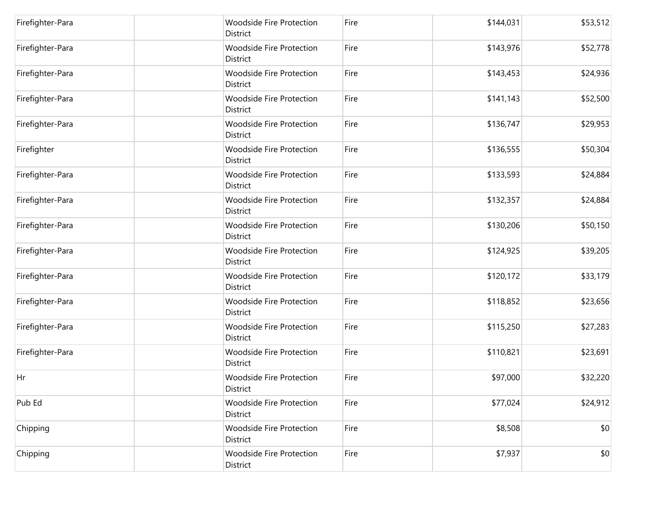| Firefighter-Para | <b>Woodside Fire Protection</b><br>District | Fire | \$144,031 | \$53,512 |
|------------------|---------------------------------------------|------|-----------|----------|
| Firefighter-Para | <b>Woodside Fire Protection</b><br>District | Fire | \$143,976 | \$52,778 |
| Firefighter-Para | <b>Woodside Fire Protection</b><br>District | Fire | \$143,453 | \$24,936 |
| Firefighter-Para | <b>Woodside Fire Protection</b><br>District | Fire | \$141,143 | \$52,500 |
| Firefighter-Para | <b>Woodside Fire Protection</b><br>District | Fire | \$136,747 | \$29,953 |
| Firefighter      | <b>Woodside Fire Protection</b><br>District | Fire | \$136,555 | \$50,304 |
| Firefighter-Para | <b>Woodside Fire Protection</b><br>District | Fire | \$133,593 | \$24,884 |
| Firefighter-Para | <b>Woodside Fire Protection</b><br>District | Fire | \$132,357 | \$24,884 |
| Firefighter-Para | <b>Woodside Fire Protection</b><br>District | Fire | \$130,206 | \$50,150 |
| Firefighter-Para | <b>Woodside Fire Protection</b><br>District | Fire | \$124,925 | \$39,205 |
| Firefighter-Para | <b>Woodside Fire Protection</b><br>District | Fire | \$120,172 | \$33,179 |
| Firefighter-Para | <b>Woodside Fire Protection</b><br>District | Fire | \$118,852 | \$23,656 |
| Firefighter-Para | <b>Woodside Fire Protection</b><br>District | Fire | \$115,250 | \$27,283 |
| Firefighter-Para | <b>Woodside Fire Protection</b><br>District | Fire | \$110,821 | \$23,691 |
| Hr               | <b>Woodside Fire Protection</b><br>District | Fire | \$97,000  | \$32,220 |
| Pub Ed           | <b>Woodside Fire Protection</b><br>District | Fire | \$77,024  | \$24,912 |
| Chipping         | <b>Woodside Fire Protection</b><br>District | Fire | \$8,508   | \$0      |
| Chipping         | <b>Woodside Fire Protection</b><br>District | Fire | \$7,937   | \$0      |